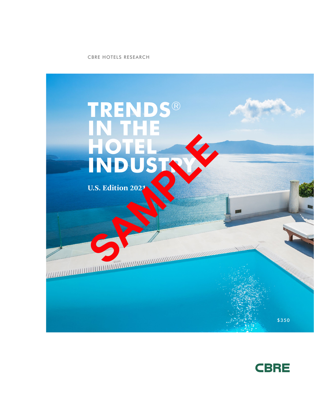CBRE HOTELS RESEARCH



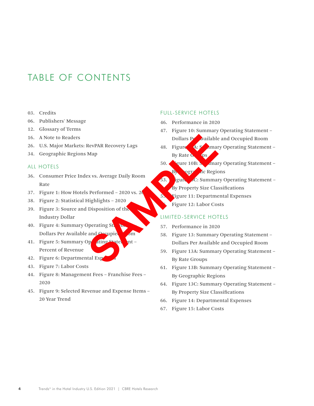## TABLE OF CONTENTS

- 03. Credits
- 06. Publishers' Message
- 12. Glossary of Terms
- 16. A Note to Readers
- 26. U.S. Major Markets: RevPAR Recovery Lags
- 34. Geographic Regions Map

#### ALL HOTELS

- 36. Consumer Price Index vs. Average Daily Room Rate
- 37. Figure 1: How Hotels Performed  $-2020$  vs. 20
- 38. Figure 2: Statistical Highlights 2020
- 39. Figure 3: Source and Disposition of the Industry Dollar
- 40. Figure 4: Summary Operating St. Dollars Per Available and Occupied Room
- 41. Figure 5: Summary Operating Statement Percent of Revenue
- 42. Figure 6: Departmental Exp
- 43. Figure 7: Labor Costs
- 44. Figure 8: Management Fees Franchise Fees 2020
- 45. Figure 9: Selected Revenue and Expense Items 20 Year Trend

#### FULL-SERVICE HOTELS

- 46. Performance in 2020
- 47. Figure 10: Summary Operating Statement Dollars Pertualiable and Occupied Room
- 48. Figure 4: Somary Operating Statement By Rate Groups
- 50. Figure 10B: Summary Operating Statement By **Ographic Regions**
- 53. **Igure 20: Summary Operating Statement** By Property Size Classifications 55. Figure 11: Departmental Expenses BREVPAR Recovery Lags<br>
Map<br>
Map<br>
By Rate Command By Rate Command By Rate Command By Rate Command By Rate Command By Rate Command By Property Size Class<br>
Figure 11: Department By Property Size Class<br>
LIMITED-SERVICE HOT<br>
Di
	- Figure 12: Labor Costs

#### LIMITED-SERVICE HOTELS

- 57. Performance in 2020
- 58. Figure 13: Summary Operating Statement Dollars Per Available and Occupied Room
- 59. Figure 13A: Summary Operating Statement By Rate Groups
- 61. Figure 13B: Summary Operating Statement By Geographic Regions
- 64. Figure 13C: Summary Operating Statement By Property Size Classifications
- 66. Figure 14: Departmental Expenses
- 67. Figure 15: Labor Costs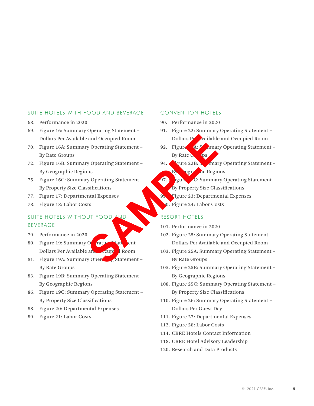### SUITE HOTELS WITH FOOD AND BEVERAGE

- 68. Performance in 2020
- 69. Figure 16: Summary Operating Statement Dollars Per Available and Occupied Room
- 70. Figure 16A: Summary Operating Statement By Rate Groups
- 72. Figure 16B: Summary Operating Statement By Geographic Regions
- 75. Figure 16C: Summary Operating Statement By Property Size Classifications
- 77. Figure 17: Departmental Expenses
- 78. Figure 18: Labor Costs

### SUITE HOTELS WITHOUT FOOD AND BEVERAGE

- 79. Performance in 2020
- 80. Figure 19: Summary Operating State Dollars Per Available and Cupied Room
- 81. Figure 19A: Summary Operation Statement By Rate Groups
- 83. Figure 19B: Summary Operating Statement By Geographic Regions
- 86. Figure 19C: Summary Operating Statement By Property Size Classifications
- 88. Figure 20: Departmental Expenses
- 89. Figure 21: Labor Costs

#### CONVENTION HOTELS

- 90. Performance in 2020
- 91. Figure 22: Summary Operating Statement Dollars Per Available and Occupied Room
- 92. Figure 4: Somary Operating Statement By Rate Groups
- 94. Figure 22B: Summary Operating Statement  $\mathbf{B}$  ogr $\mathbf{A}$  ic Regions
- 97. **Igure 20: Summary Operating Statement** By Property Size Classifications 99. Figure 23: Departmental Expenses and Occupied Room<br>
By Operating Statement –<br>
SP Rate Occupied Room<br>
By Rate Occupied Room<br>
By Rate Occupied Room<br>
By Paper 22B<br>
In and Expenses<br>
Sure 23: Department<br>
SP Paper 28B<br>
In and Expenses<br>
Sp Property Size Class<br>
S
	- 10. Figure 24: Labor Costs

#### RESORT HOTELS

- 101. Performance in 2020
- 102. Figure 25: Summary Operating Statement Dollars Per Available and Occupied Room
- 103. Figure 25A: Summary Operating Statement By Rate Groups
- 105. Figure 25B: Summary Operating Statement By Geographic Regions
- 108. Figure 25C: Summary Operating Statement By Property Size Classifications
- 110. Figure 26: Summary Operating Statement Dollars Per Guest Day
- 111. Figure 27: Departmental Expenses
- 112. Figure 28: Labor Costs
- 114. CBRE Hotels Contact Information
- 118. CBRE Hotel Advisory Leadership
- 120. Research and Data Products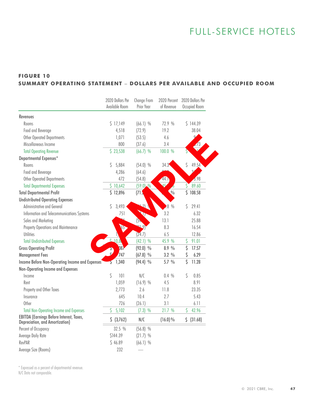# FULL-SERVICE HOTELS

## **FIGURE 10 SUMMARY OPERATING STATEMENT** – **DOLLARS PER AVAILABLE AND OCCUPIED ROOM**

| \$17,149<br>$(66.1)$ %<br>72.9 %<br>\$144.39<br>Rooms<br>(72.9)<br>19.2<br>38.04<br>Food and Beverage<br>4,518<br>Ó,<br>Other Operated Departments<br>1,071<br>(53.5)<br>4.6<br>800<br>Miscellaneous Income<br>(37.6)<br>3.4<br>7/3<br>\$23,538<br>100.0 %<br><b>Total Operating Revenue</b><br>$(66.7)$ %<br>\$<br>49.54<br>Rooms<br>Ŝ<br>5,884<br>$(54.0)$ %<br>34.3<br>Q,<br>Food and Beverage<br>4,286<br>(64.6)<br>Other Operated Departments<br>472<br>3.98<br>(54.8)<br>44.1<br>$\varsigma$<br>\$10,642<br>$(59.0)$ %<br>89.60<br><b>Total Departmental Expenses</b><br>\$108.58<br>$\frac{0}{0}$<br>\$12,896<br>(71.5)<br>$\mathcal{O}$<br>Ŝ<br>3,493<br>$.8\%$<br>\$<br>29.41<br>Administrative and General<br>P<br>3.2<br>Information and Telecommunications Systems<br>751<br>6.32<br>13.1<br>25.88<br>Sales and Marketing<br>$(5 -$<br>29)<br>$65 -$<br>8.3<br>Property Operations and Maintenance<br>16.54<br>(24.7)<br>6.5<br>12.86<br><b>Utilities</b><br>20,8<br>\$<br>$(42.1)$ %<br>45.9 %<br>91.01<br><b>Total Undistributed Expenses</b><br>\$<br>$(92.0)$ %<br>8.9 %<br>17.57<br>187<br>747<br>\$<br>$(67.8)$ %<br>3.2%<br>6.29<br>\$<br>5.7 %<br>1,340<br>$(94.4)$ %<br>11.28<br>2<br>\$<br>101<br>N/C<br>\$<br>Income<br>0.4 %<br>0.85<br>1,059<br>$(16.9)$ %<br>8.91<br>4.5<br>Rent<br>2.6<br>23.35<br>Property and Other Taxes<br>2,773<br>11.8<br>Insurance<br>645<br>10.4<br>2.7<br>5.43<br>726<br>3.1<br>Other<br>(26.1)<br>6.11<br>42.96<br>\$<br>5,102<br>21.7 %<br>\$<br><b>Total Non-Operating Income and Expenses</b><br>$(7.3)$ %<br>\$ (31.68)<br>\$ (3,762)<br>N/C<br>$(16.0)\%$ |                                                                             | 2020 Dollars Per<br>Available Room | Change From<br>Prior Year | 2020 Percent<br>of Revenue | 2020 Dollars Per<br>Occupied Room |
|---------------------------------------------------------------------------------------------------------------------------------------------------------------------------------------------------------------------------------------------------------------------------------------------------------------------------------------------------------------------------------------------------------------------------------------------------------------------------------------------------------------------------------------------------------------------------------------------------------------------------------------------------------------------------------------------------------------------------------------------------------------------------------------------------------------------------------------------------------------------------------------------------------------------------------------------------------------------------------------------------------------------------------------------------------------------------------------------------------------------------------------------------------------------------------------------------------------------------------------------------------------------------------------------------------------------------------------------------------------------------------------------------------------------------------------------------------------------------------------------------------------------------------------------------------------------------------------------------------------------|-----------------------------------------------------------------------------|------------------------------------|---------------------------|----------------------------|-----------------------------------|
|                                                                                                                                                                                                                                                                                                                                                                                                                                                                                                                                                                                                                                                                                                                                                                                                                                                                                                                                                                                                                                                                                                                                                                                                                                                                                                                                                                                                                                                                                                                                                                                                                     |                                                                             |                                    |                           |                            |                                   |
|                                                                                                                                                                                                                                                                                                                                                                                                                                                                                                                                                                                                                                                                                                                                                                                                                                                                                                                                                                                                                                                                                                                                                                                                                                                                                                                                                                                                                                                                                                                                                                                                                     | <b>Revenues</b>                                                             |                                    |                           |                            |                                   |
|                                                                                                                                                                                                                                                                                                                                                                                                                                                                                                                                                                                                                                                                                                                                                                                                                                                                                                                                                                                                                                                                                                                                                                                                                                                                                                                                                                                                                                                                                                                                                                                                                     |                                                                             |                                    |                           |                            |                                   |
|                                                                                                                                                                                                                                                                                                                                                                                                                                                                                                                                                                                                                                                                                                                                                                                                                                                                                                                                                                                                                                                                                                                                                                                                                                                                                                                                                                                                                                                                                                                                                                                                                     |                                                                             |                                    |                           |                            |                                   |
|                                                                                                                                                                                                                                                                                                                                                                                                                                                                                                                                                                                                                                                                                                                                                                                                                                                                                                                                                                                                                                                                                                                                                                                                                                                                                                                                                                                                                                                                                                                                                                                                                     |                                                                             |                                    |                           |                            |                                   |
|                                                                                                                                                                                                                                                                                                                                                                                                                                                                                                                                                                                                                                                                                                                                                                                                                                                                                                                                                                                                                                                                                                                                                                                                                                                                                                                                                                                                                                                                                                                                                                                                                     |                                                                             |                                    |                           |                            |                                   |
|                                                                                                                                                                                                                                                                                                                                                                                                                                                                                                                                                                                                                                                                                                                                                                                                                                                                                                                                                                                                                                                                                                                                                                                                                                                                                                                                                                                                                                                                                                                                                                                                                     |                                                                             |                                    |                           |                            |                                   |
|                                                                                                                                                                                                                                                                                                                                                                                                                                                                                                                                                                                                                                                                                                                                                                                                                                                                                                                                                                                                                                                                                                                                                                                                                                                                                                                                                                                                                                                                                                                                                                                                                     | Departmental Expenses*                                                      |                                    |                           |                            |                                   |
|                                                                                                                                                                                                                                                                                                                                                                                                                                                                                                                                                                                                                                                                                                                                                                                                                                                                                                                                                                                                                                                                                                                                                                                                                                                                                                                                                                                                                                                                                                                                                                                                                     |                                                                             |                                    |                           |                            |                                   |
|                                                                                                                                                                                                                                                                                                                                                                                                                                                                                                                                                                                                                                                                                                                                                                                                                                                                                                                                                                                                                                                                                                                                                                                                                                                                                                                                                                                                                                                                                                                                                                                                                     |                                                                             |                                    |                           |                            |                                   |
|                                                                                                                                                                                                                                                                                                                                                                                                                                                                                                                                                                                                                                                                                                                                                                                                                                                                                                                                                                                                                                                                                                                                                                                                                                                                                                                                                                                                                                                                                                                                                                                                                     |                                                                             |                                    |                           |                            |                                   |
|                                                                                                                                                                                                                                                                                                                                                                                                                                                                                                                                                                                                                                                                                                                                                                                                                                                                                                                                                                                                                                                                                                                                                                                                                                                                                                                                                                                                                                                                                                                                                                                                                     |                                                                             |                                    |                           |                            |                                   |
|                                                                                                                                                                                                                                                                                                                                                                                                                                                                                                                                                                                                                                                                                                                                                                                                                                                                                                                                                                                                                                                                                                                                                                                                                                                                                                                                                                                                                                                                                                                                                                                                                     | <b>Total Departmental Profit</b>                                            |                                    |                           |                            |                                   |
|                                                                                                                                                                                                                                                                                                                                                                                                                                                                                                                                                                                                                                                                                                                                                                                                                                                                                                                                                                                                                                                                                                                                                                                                                                                                                                                                                                                                                                                                                                                                                                                                                     | <b>Undistributed Operating Expenses</b>                                     |                                    |                           |                            |                                   |
|                                                                                                                                                                                                                                                                                                                                                                                                                                                                                                                                                                                                                                                                                                                                                                                                                                                                                                                                                                                                                                                                                                                                                                                                                                                                                                                                                                                                                                                                                                                                                                                                                     |                                                                             |                                    |                           |                            |                                   |
|                                                                                                                                                                                                                                                                                                                                                                                                                                                                                                                                                                                                                                                                                                                                                                                                                                                                                                                                                                                                                                                                                                                                                                                                                                                                                                                                                                                                                                                                                                                                                                                                                     |                                                                             |                                    |                           |                            |                                   |
|                                                                                                                                                                                                                                                                                                                                                                                                                                                                                                                                                                                                                                                                                                                                                                                                                                                                                                                                                                                                                                                                                                                                                                                                                                                                                                                                                                                                                                                                                                                                                                                                                     |                                                                             |                                    |                           |                            |                                   |
|                                                                                                                                                                                                                                                                                                                                                                                                                                                                                                                                                                                                                                                                                                                                                                                                                                                                                                                                                                                                                                                                                                                                                                                                                                                                                                                                                                                                                                                                                                                                                                                                                     |                                                                             |                                    |                           |                            |                                   |
|                                                                                                                                                                                                                                                                                                                                                                                                                                                                                                                                                                                                                                                                                                                                                                                                                                                                                                                                                                                                                                                                                                                                                                                                                                                                                                                                                                                                                                                                                                                                                                                                                     |                                                                             |                                    |                           |                            |                                   |
|                                                                                                                                                                                                                                                                                                                                                                                                                                                                                                                                                                                                                                                                                                                                                                                                                                                                                                                                                                                                                                                                                                                                                                                                                                                                                                                                                                                                                                                                                                                                                                                                                     |                                                                             |                                    |                           |                            |                                   |
|                                                                                                                                                                                                                                                                                                                                                                                                                                                                                                                                                                                                                                                                                                                                                                                                                                                                                                                                                                                                                                                                                                                                                                                                                                                                                                                                                                                                                                                                                                                                                                                                                     | <b>Gross Operating Profit</b>                                               |                                    |                           |                            |                                   |
|                                                                                                                                                                                                                                                                                                                                                                                                                                                                                                                                                                                                                                                                                                                                                                                                                                                                                                                                                                                                                                                                                                                                                                                                                                                                                                                                                                                                                                                                                                                                                                                                                     | <b>Management Fees</b>                                                      |                                    |                           |                            |                                   |
|                                                                                                                                                                                                                                                                                                                                                                                                                                                                                                                                                                                                                                                                                                                                                                                                                                                                                                                                                                                                                                                                                                                                                                                                                                                                                                                                                                                                                                                                                                                                                                                                                     | Income Before Non-Operating Income and Expenses                             |                                    |                           |                            |                                   |
|                                                                                                                                                                                                                                                                                                                                                                                                                                                                                                                                                                                                                                                                                                                                                                                                                                                                                                                                                                                                                                                                                                                                                                                                                                                                                                                                                                                                                                                                                                                                                                                                                     | Non-Operating Income and Expenses                                           |                                    |                           |                            |                                   |
|                                                                                                                                                                                                                                                                                                                                                                                                                                                                                                                                                                                                                                                                                                                                                                                                                                                                                                                                                                                                                                                                                                                                                                                                                                                                                                                                                                                                                                                                                                                                                                                                                     |                                                                             |                                    |                           |                            |                                   |
|                                                                                                                                                                                                                                                                                                                                                                                                                                                                                                                                                                                                                                                                                                                                                                                                                                                                                                                                                                                                                                                                                                                                                                                                                                                                                                                                                                                                                                                                                                                                                                                                                     |                                                                             |                                    |                           |                            |                                   |
|                                                                                                                                                                                                                                                                                                                                                                                                                                                                                                                                                                                                                                                                                                                                                                                                                                                                                                                                                                                                                                                                                                                                                                                                                                                                                                                                                                                                                                                                                                                                                                                                                     |                                                                             |                                    |                           |                            |                                   |
|                                                                                                                                                                                                                                                                                                                                                                                                                                                                                                                                                                                                                                                                                                                                                                                                                                                                                                                                                                                                                                                                                                                                                                                                                                                                                                                                                                                                                                                                                                                                                                                                                     |                                                                             |                                    |                           |                            |                                   |
|                                                                                                                                                                                                                                                                                                                                                                                                                                                                                                                                                                                                                                                                                                                                                                                                                                                                                                                                                                                                                                                                                                                                                                                                                                                                                                                                                                                                                                                                                                                                                                                                                     |                                                                             |                                    |                           |                            |                                   |
|                                                                                                                                                                                                                                                                                                                                                                                                                                                                                                                                                                                                                                                                                                                                                                                                                                                                                                                                                                                                                                                                                                                                                                                                                                                                                                                                                                                                                                                                                                                                                                                                                     |                                                                             |                                    |                           |                            |                                   |
|                                                                                                                                                                                                                                                                                                                                                                                                                                                                                                                                                                                                                                                                                                                                                                                                                                                                                                                                                                                                                                                                                                                                                                                                                                                                                                                                                                                                                                                                                                                                                                                                                     | EBITDA (Earnings Before Interest, Taxes,<br>Depreciation, and Amortization) |                                    |                           |                            |                                   |
| 32.5 %<br>$(56.8)$ %                                                                                                                                                                                                                                                                                                                                                                                                                                                                                                                                                                                                                                                                                                                                                                                                                                                                                                                                                                                                                                                                                                                                                                                                                                                                                                                                                                                                                                                                                                                                                                                                | Percent of Occupancy                                                        |                                    |                           |                            |                                   |
| \$144.39<br>$(21.7)$ %                                                                                                                                                                                                                                                                                                                                                                                                                                                                                                                                                                                                                                                                                                                                                                                                                                                                                                                                                                                                                                                                                                                                                                                                                                                                                                                                                                                                                                                                                                                                                                                              | Average Daily Rate                                                          |                                    |                           |                            |                                   |
| \$46.89<br>$(66.1)$ %                                                                                                                                                                                                                                                                                                                                                                                                                                                                                                                                                                                                                                                                                                                                                                                                                                                                                                                                                                                                                                                                                                                                                                                                                                                                                                                                                                                                                                                                                                                                                                                               | RevPAR                                                                      |                                    |                           |                            |                                   |
| 232                                                                                                                                                                                                                                                                                                                                                                                                                                                                                                                                                                                                                                                                                                                                                                                                                                                                                                                                                                                                                                                                                                                                                                                                                                                                                                                                                                                                                                                                                                                                                                                                                 | Average Size (Rooms)                                                        |                                    |                           |                            |                                   |

\* Expressed as a percent of departmental revenue.

N/C Data not comparable.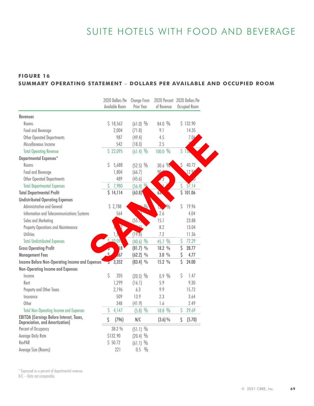# SUITE HOTELS WITH FOOD AND BEVERAGE

### **FIGURE 16 SUMMARY OPERATING STATEMENT** – **DOLLARS PER AVAILABLE AND OCCUPIED ROOM**

|                                                                             |                | 2020 Dollars Per<br>Available Room | Change From<br>Prior Year | 2020 Percent 2020 Dollars Per<br>of Revenue |              | Occupied Room   |
|-----------------------------------------------------------------------------|----------------|------------------------------------|---------------------------|---------------------------------------------|--------------|-----------------|
| Revenues                                                                    |                |                                    |                           |                                             |              |                 |
| Rooms                                                                       |                | \$18,562                           | $(61.0)$ %                | 84.0 %                                      |              | \$132.90        |
| Food and Beverage                                                           |                | 2,004                              | (71.8)                    | 9.1                                         |              | 14.35           |
| Other Operated Departments                                                  |                | 987                                | (49.4)                    | 4.5                                         |              | 7.06            |
| Miscellaneous Income                                                        |                | 542                                | (18.3)                    | 2.5                                         |              |                 |
| <b>Total Operating Revenue</b>                                              |                | \$22,095                           | $(61.4)$ %                | 100.0 %                                     |              | 51 <sub>b</sub> |
| Departmental Expenses*                                                      |                |                                    |                           |                                             |              |                 |
| Rooms                                                                       | Ŝ              | 5,688                              | $(52.5)$ %                | 30.6 %                                      | $\mathsf{S}$ | 40.72           |
| Food and Beverage                                                           |                | 1,804                              | (66.7)                    | 90                                          |              | 12.9'           |
| Other Operated Departments                                                  |                | 489                                | (45.6)                    |                                             |              |                 |
| <b>Total Departmental Expenses</b>                                          | \$             | 7,980                              | $(56.4)$ %                |                                             | \$           | 57.14           |
| <b>Total Departmental Profit</b>                                            |                | \$14,114                           | (63.8)                    | 63.                                         |              | 5101.06         |
| <b>Undistributed Operating Expenses</b>                                     |                |                                    |                           |                                             |              |                 |
| Administrative and General                                                  |                | \$2,788                            |                           | $\sqrt[0]{\sqrt{2}}$<br>$\frac{1}{2}$       | \$           | 19.96           |
| Information and Telecommunications Systems                                  |                | 564                                |                           | 2.6                                         |              | 4.04            |
| Sales and Marketing                                                         |                |                                    | (55.)                     | 15.1                                        |              | 23.88           |
| Property Operations and Maintenance                                         |                |                                    |                           | 8.2                                         |              | 13.04           |
| <b>Utilities</b>                                                            |                |                                    | (19.8)                    | 7.2                                         |              | 11.36           |
| <b>Total Undistributed Expenses</b>                                         |                | $5 - 10.09$                        | $(40.6)$ %                | 45.7 %                                      | \$           | 72.29           |
| <b>Gross Operating Profit</b>                                               |                | 8                                  | $(81.7)$ %                | 18.2 %                                      | \$           | 28.77           |
| <b>Management Fees</b>                                                      |                | $\overline{67}$                    | $(62.2)$ %                | 3.0%                                        | \$           | 4.77            |
| Income Before Non-Operating Income and Expenses                             | $\overline{v}$ | 3,352                              | $(83.4)$ %                | 15.2 %                                      | Ŝ            | 24.00           |
| Non-Operating Income and Expenses                                           |                |                                    |                           |                                             |              |                 |
| Income                                                                      | $\zeta$        | 205                                | $(20.5)$ %                | $0.9\%$                                     | \$           | 1.47            |
| Rent                                                                        |                | 1,299                              | (16.1)                    | 5.9                                         |              | 9.30            |
| Property and Other Taxes                                                    |                | 2,196                              | 6.3                       | 9.9                                         |              | 15.72           |
| Insurance                                                                   |                | 509                                | 13.9                      | 2.3                                         |              | 3.64            |
| Other                                                                       |                | 348                                | (41.9)                    | 1.6                                         |              | 2.49            |
| <b>Total Non-Operating Income and Expenses</b>                              | \$             | 4,147                              | $(5.8)$ %                 | 18.8 %                                      | \$           | 29.69           |
| EBITDA (Earnings Before Interest, Taxes,<br>Depreciation, and Amortization) | Ŝ              | (796)                              | N/C                       | $(3.6)\%$                                   | Ŝ            | (5.70)          |
| Percent of Occupancy                                                        |                | 38.2 %                             | $(51.1)$ %                |                                             |              |                 |
| Average Daily Rate                                                          |                | \$132.90                           | $(20.4)$ %                |                                             |              |                 |
| RevPAR                                                                      |                | \$50.72                            | $(61.1)$ %                |                                             |              |                 |
| Average Size (Rooms)                                                        |                | 221                                | $0.5\frac{0}{0}$          |                                             |              |                 |

\* Expressed as a percent of departmental revenue.

N/C – Data not comparable.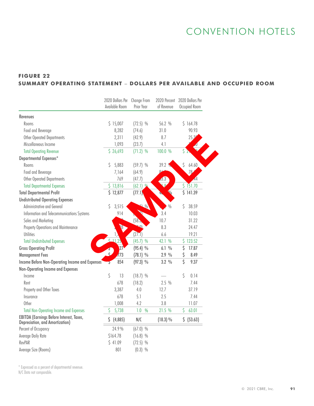# CONVENTION HOTELS

## **FIGURE 22 SUMMARY OPERATING STATEMENT** – **DOLLARS PER AVAILABLE AND OCCUPIED ROOM**

| Revenues<br>\$15,007<br>56.2 %<br>\$164.78<br>Rooms<br>$(72.5)$ %<br>90.93<br>Food and Beverage<br>8,282<br>(74.6)<br>31.0<br><b>Other Operated Departments</b><br>2,311<br>8.7<br>25.39<br>(42.9)<br>Miscellaneous Income<br>1,093<br>(23.7)<br>4.1<br>Š<br>\$26,693<br>100.0 %<br><b>Total Operating Revenue</b><br>$(71.2)$ %<br>Departmental Expenses*<br>\$<br>5,883<br>39.2<br>Rooms<br>\$<br>$(59.7)$ %<br>64.60<br>$\alpha$<br>Food and Beverage<br>78<br>7,164<br>(64.9)<br>769<br><b>Other Operated Departments</b><br>(47.7)<br>3.3<br>\$151.70<br>\$13,816<br>$(62.1)$ %<br><b>Total Departmental Expenses</b><br>\$141.39<br>\$12,877<br>(77.1)<br>$\frac{0}{0}$<br>Ŝ<br>Administrative and General<br>Ŝ<br>3,515<br>38.59<br>$\sqrt{0}$<br>A<br>3.4<br>Information and Telecommunications Systems<br>914<br>10.03<br>(58.5<br>10.7<br>Sales and Marketing<br>31.22<br>18<br>$\Omega$<br>8.3<br>Property Operations and Maintenance<br>24.47<br>(27.1)<br>19.21<br><b>Utilities</b><br>6.6<br>$(45.7)$ %<br>42.1 %<br>\$123.52<br><b>Total Undistributed Expenses</b><br>\$<br>$\overline{2}$<br>$(95.4)$ %<br>6.1%<br>17.87<br>$\sqrt{73}$<br>\$<br>$(78.1)$ %<br>2.9%<br>8.49<br>Ŝ<br>854<br>$(97.3)$ %<br>3.2 %<br>9.37<br>Income Before Non-Operating Income and Expenses<br>ᢌ<br>Non-Operating Income and Expenses<br>\$<br>Ŝ<br>13<br>$(18.7)$ %<br>0.14<br>Income<br>678<br>2.5%<br>(18.2)<br>7.44<br>Rent<br>12.7<br>37.19<br>Property and Other Taxes<br>3,387<br>4.0<br>Insurance<br>678<br>5.1<br>2.5<br>7.44<br>4.2<br>3.8<br>Other<br>1,008<br>11.07<br>21.5 %<br>63.01<br><b>Total Non-Operating Income and Expenses</b><br>\$<br>5,738<br>1.0<br>$\frac{0}{0}$<br>\$<br>\$ (53.63)<br>Ŝ.<br>(4,885)<br>N/C<br>(18.3) %<br>Depreciation, and Amortization)<br>24.9%<br>Percent of Occupancy<br>$(67.0)$ %<br>\$164.78<br>Average Daily Rate<br>$(16.8)$ %<br>\$41.09<br>$(72.5)$ %<br>$(0.3)$ % |                                          | 2020 Dollars Per<br>Available Room | Change From<br>Prior Year | 2020 Percent<br>of Revenue | 2020 Dollars Per<br>Occupied Room |
|----------------------------------------------------------------------------------------------------------------------------------------------------------------------------------------------------------------------------------------------------------------------------------------------------------------------------------------------------------------------------------------------------------------------------------------------------------------------------------------------------------------------------------------------------------------------------------------------------------------------------------------------------------------------------------------------------------------------------------------------------------------------------------------------------------------------------------------------------------------------------------------------------------------------------------------------------------------------------------------------------------------------------------------------------------------------------------------------------------------------------------------------------------------------------------------------------------------------------------------------------------------------------------------------------------------------------------------------------------------------------------------------------------------------------------------------------------------------------------------------------------------------------------------------------------------------------------------------------------------------------------------------------------------------------------------------------------------------------------------------------------------------------------------------------------------------------------------------------------------------------------------------------------------------------|------------------------------------------|------------------------------------|---------------------------|----------------------------|-----------------------------------|
|                                                                                                                                                                                                                                                                                                                                                                                                                                                                                                                                                                                                                                                                                                                                                                                                                                                                                                                                                                                                                                                                                                                                                                                                                                                                                                                                                                                                                                                                                                                                                                                                                                                                                                                                                                                                                                                                                                                            |                                          |                                    |                           |                            |                                   |
|                                                                                                                                                                                                                                                                                                                                                                                                                                                                                                                                                                                                                                                                                                                                                                                                                                                                                                                                                                                                                                                                                                                                                                                                                                                                                                                                                                                                                                                                                                                                                                                                                                                                                                                                                                                                                                                                                                                            |                                          |                                    |                           |                            |                                   |
|                                                                                                                                                                                                                                                                                                                                                                                                                                                                                                                                                                                                                                                                                                                                                                                                                                                                                                                                                                                                                                                                                                                                                                                                                                                                                                                                                                                                                                                                                                                                                                                                                                                                                                                                                                                                                                                                                                                            |                                          |                                    |                           |                            |                                   |
|                                                                                                                                                                                                                                                                                                                                                                                                                                                                                                                                                                                                                                                                                                                                                                                                                                                                                                                                                                                                                                                                                                                                                                                                                                                                                                                                                                                                                                                                                                                                                                                                                                                                                                                                                                                                                                                                                                                            |                                          |                                    |                           |                            |                                   |
|                                                                                                                                                                                                                                                                                                                                                                                                                                                                                                                                                                                                                                                                                                                                                                                                                                                                                                                                                                                                                                                                                                                                                                                                                                                                                                                                                                                                                                                                                                                                                                                                                                                                                                                                                                                                                                                                                                                            |                                          |                                    |                           |                            |                                   |
|                                                                                                                                                                                                                                                                                                                                                                                                                                                                                                                                                                                                                                                                                                                                                                                                                                                                                                                                                                                                                                                                                                                                                                                                                                                                                                                                                                                                                                                                                                                                                                                                                                                                                                                                                                                                                                                                                                                            |                                          |                                    |                           |                            |                                   |
|                                                                                                                                                                                                                                                                                                                                                                                                                                                                                                                                                                                                                                                                                                                                                                                                                                                                                                                                                                                                                                                                                                                                                                                                                                                                                                                                                                                                                                                                                                                                                                                                                                                                                                                                                                                                                                                                                                                            |                                          |                                    |                           |                            |                                   |
|                                                                                                                                                                                                                                                                                                                                                                                                                                                                                                                                                                                                                                                                                                                                                                                                                                                                                                                                                                                                                                                                                                                                                                                                                                                                                                                                                                                                                                                                                                                                                                                                                                                                                                                                                                                                                                                                                                                            |                                          |                                    |                           |                            |                                   |
|                                                                                                                                                                                                                                                                                                                                                                                                                                                                                                                                                                                                                                                                                                                                                                                                                                                                                                                                                                                                                                                                                                                                                                                                                                                                                                                                                                                                                                                                                                                                                                                                                                                                                                                                                                                                                                                                                                                            |                                          |                                    |                           |                            |                                   |
|                                                                                                                                                                                                                                                                                                                                                                                                                                                                                                                                                                                                                                                                                                                                                                                                                                                                                                                                                                                                                                                                                                                                                                                                                                                                                                                                                                                                                                                                                                                                                                                                                                                                                                                                                                                                                                                                                                                            |                                          |                                    |                           |                            |                                   |
|                                                                                                                                                                                                                                                                                                                                                                                                                                                                                                                                                                                                                                                                                                                                                                                                                                                                                                                                                                                                                                                                                                                                                                                                                                                                                                                                                                                                                                                                                                                                                                                                                                                                                                                                                                                                                                                                                                                            |                                          |                                    |                           |                            |                                   |
|                                                                                                                                                                                                                                                                                                                                                                                                                                                                                                                                                                                                                                                                                                                                                                                                                                                                                                                                                                                                                                                                                                                                                                                                                                                                                                                                                                                                                                                                                                                                                                                                                                                                                                                                                                                                                                                                                                                            |                                          |                                    |                           |                            |                                   |
|                                                                                                                                                                                                                                                                                                                                                                                                                                                                                                                                                                                                                                                                                                                                                                                                                                                                                                                                                                                                                                                                                                                                                                                                                                                                                                                                                                                                                                                                                                                                                                                                                                                                                                                                                                                                                                                                                                                            | <b>Total Departmental Profit</b>         |                                    |                           |                            |                                   |
|                                                                                                                                                                                                                                                                                                                                                                                                                                                                                                                                                                                                                                                                                                                                                                                                                                                                                                                                                                                                                                                                                                                                                                                                                                                                                                                                                                                                                                                                                                                                                                                                                                                                                                                                                                                                                                                                                                                            | <b>Undistributed Operating Expenses</b>  |                                    |                           |                            |                                   |
|                                                                                                                                                                                                                                                                                                                                                                                                                                                                                                                                                                                                                                                                                                                                                                                                                                                                                                                                                                                                                                                                                                                                                                                                                                                                                                                                                                                                                                                                                                                                                                                                                                                                                                                                                                                                                                                                                                                            |                                          |                                    |                           |                            |                                   |
|                                                                                                                                                                                                                                                                                                                                                                                                                                                                                                                                                                                                                                                                                                                                                                                                                                                                                                                                                                                                                                                                                                                                                                                                                                                                                                                                                                                                                                                                                                                                                                                                                                                                                                                                                                                                                                                                                                                            |                                          |                                    |                           |                            |                                   |
|                                                                                                                                                                                                                                                                                                                                                                                                                                                                                                                                                                                                                                                                                                                                                                                                                                                                                                                                                                                                                                                                                                                                                                                                                                                                                                                                                                                                                                                                                                                                                                                                                                                                                                                                                                                                                                                                                                                            |                                          |                                    |                           |                            |                                   |
|                                                                                                                                                                                                                                                                                                                                                                                                                                                                                                                                                                                                                                                                                                                                                                                                                                                                                                                                                                                                                                                                                                                                                                                                                                                                                                                                                                                                                                                                                                                                                                                                                                                                                                                                                                                                                                                                                                                            |                                          |                                    |                           |                            |                                   |
|                                                                                                                                                                                                                                                                                                                                                                                                                                                                                                                                                                                                                                                                                                                                                                                                                                                                                                                                                                                                                                                                                                                                                                                                                                                                                                                                                                                                                                                                                                                                                                                                                                                                                                                                                                                                                                                                                                                            |                                          |                                    |                           |                            |                                   |
|                                                                                                                                                                                                                                                                                                                                                                                                                                                                                                                                                                                                                                                                                                                                                                                                                                                                                                                                                                                                                                                                                                                                                                                                                                                                                                                                                                                                                                                                                                                                                                                                                                                                                                                                                                                                                                                                                                                            |                                          |                                    |                           |                            |                                   |
|                                                                                                                                                                                                                                                                                                                                                                                                                                                                                                                                                                                                                                                                                                                                                                                                                                                                                                                                                                                                                                                                                                                                                                                                                                                                                                                                                                                                                                                                                                                                                                                                                                                                                                                                                                                                                                                                                                                            | <b>Gross Operating Profit</b>            |                                    |                           |                            |                                   |
|                                                                                                                                                                                                                                                                                                                                                                                                                                                                                                                                                                                                                                                                                                                                                                                                                                                                                                                                                                                                                                                                                                                                                                                                                                                                                                                                                                                                                                                                                                                                                                                                                                                                                                                                                                                                                                                                                                                            | <b>Management Fees</b>                   |                                    |                           |                            |                                   |
|                                                                                                                                                                                                                                                                                                                                                                                                                                                                                                                                                                                                                                                                                                                                                                                                                                                                                                                                                                                                                                                                                                                                                                                                                                                                                                                                                                                                                                                                                                                                                                                                                                                                                                                                                                                                                                                                                                                            |                                          |                                    |                           |                            |                                   |
|                                                                                                                                                                                                                                                                                                                                                                                                                                                                                                                                                                                                                                                                                                                                                                                                                                                                                                                                                                                                                                                                                                                                                                                                                                                                                                                                                                                                                                                                                                                                                                                                                                                                                                                                                                                                                                                                                                                            |                                          |                                    |                           |                            |                                   |
|                                                                                                                                                                                                                                                                                                                                                                                                                                                                                                                                                                                                                                                                                                                                                                                                                                                                                                                                                                                                                                                                                                                                                                                                                                                                                                                                                                                                                                                                                                                                                                                                                                                                                                                                                                                                                                                                                                                            |                                          |                                    |                           |                            |                                   |
|                                                                                                                                                                                                                                                                                                                                                                                                                                                                                                                                                                                                                                                                                                                                                                                                                                                                                                                                                                                                                                                                                                                                                                                                                                                                                                                                                                                                                                                                                                                                                                                                                                                                                                                                                                                                                                                                                                                            |                                          |                                    |                           |                            |                                   |
|                                                                                                                                                                                                                                                                                                                                                                                                                                                                                                                                                                                                                                                                                                                                                                                                                                                                                                                                                                                                                                                                                                                                                                                                                                                                                                                                                                                                                                                                                                                                                                                                                                                                                                                                                                                                                                                                                                                            |                                          |                                    |                           |                            |                                   |
|                                                                                                                                                                                                                                                                                                                                                                                                                                                                                                                                                                                                                                                                                                                                                                                                                                                                                                                                                                                                                                                                                                                                                                                                                                                                                                                                                                                                                                                                                                                                                                                                                                                                                                                                                                                                                                                                                                                            |                                          |                                    |                           |                            |                                   |
|                                                                                                                                                                                                                                                                                                                                                                                                                                                                                                                                                                                                                                                                                                                                                                                                                                                                                                                                                                                                                                                                                                                                                                                                                                                                                                                                                                                                                                                                                                                                                                                                                                                                                                                                                                                                                                                                                                                            |                                          |                                    |                           |                            |                                   |
|                                                                                                                                                                                                                                                                                                                                                                                                                                                                                                                                                                                                                                                                                                                                                                                                                                                                                                                                                                                                                                                                                                                                                                                                                                                                                                                                                                                                                                                                                                                                                                                                                                                                                                                                                                                                                                                                                                                            |                                          |                                    |                           |                            |                                   |
|                                                                                                                                                                                                                                                                                                                                                                                                                                                                                                                                                                                                                                                                                                                                                                                                                                                                                                                                                                                                                                                                                                                                                                                                                                                                                                                                                                                                                                                                                                                                                                                                                                                                                                                                                                                                                                                                                                                            | EBITDA (Earnings Before Interest, Taxes, |                                    |                           |                            |                                   |
|                                                                                                                                                                                                                                                                                                                                                                                                                                                                                                                                                                                                                                                                                                                                                                                                                                                                                                                                                                                                                                                                                                                                                                                                                                                                                                                                                                                                                                                                                                                                                                                                                                                                                                                                                                                                                                                                                                                            |                                          |                                    |                           |                            |                                   |
|                                                                                                                                                                                                                                                                                                                                                                                                                                                                                                                                                                                                                                                                                                                                                                                                                                                                                                                                                                                                                                                                                                                                                                                                                                                                                                                                                                                                                                                                                                                                                                                                                                                                                                                                                                                                                                                                                                                            |                                          |                                    |                           |                            |                                   |
|                                                                                                                                                                                                                                                                                                                                                                                                                                                                                                                                                                                                                                                                                                                                                                                                                                                                                                                                                                                                                                                                                                                                                                                                                                                                                                                                                                                                                                                                                                                                                                                                                                                                                                                                                                                                                                                                                                                            | RevPAR                                   |                                    |                           |                            |                                   |
|                                                                                                                                                                                                                                                                                                                                                                                                                                                                                                                                                                                                                                                                                                                                                                                                                                                                                                                                                                                                                                                                                                                                                                                                                                                                                                                                                                                                                                                                                                                                                                                                                                                                                                                                                                                                                                                                                                                            | Average Size (Rooms)                     | 801                                |                           |                            |                                   |

\* Expressed as a percent of departmental revenue.

N/C Data not comparable.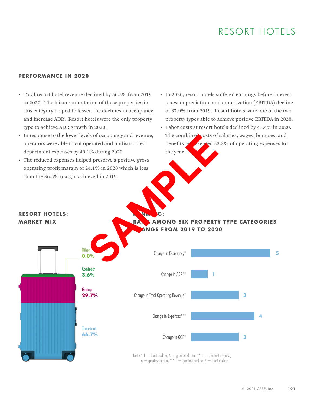# RESORT HOTELS

#### **PERFORMANCE IN 2020**

**RESORT HOTELS: MARKET MIX**

- Total resort hotel revenue declined by 56.5% from 2019 to 2020. The leisure orientation of these properties in this category helped to lessen the declines in occupancy and increase ADR. Resort hotels were the only property type to achieve ADR growth in 2020.
- In response to the lower levels of occupancy and revenue, operators were able to cut operated and undistributed department expenses by 48.1% during 2020.
- The reduced expenses helped preserve a positive gross operating profit margin of 24.1% in 2020 which is less than the 36.5% margin achieved in 2019.
- In 2020, resort hotels suffered earnings before interest, taxes, depreciation, and amortization (EBITDA) decline of 87.9% from 2019. Resort hotels were one of the two property types able to achieve positive EBITDA in 2020.
- Labor costs at resort hotels declined by 47.4% in 2020. The combined costs of salaries, wages, bonuses, and benefits represented 53.3% of operating expenses for the year.

### **RANK AMONG SIX PROPERTY TYPE CATEGORIES CHANGE FROM 2019 TO 2020**



RANKING: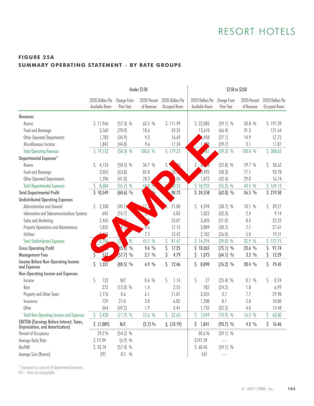# RESORT HOTELS

## **FIGURE 25A SUMMARY OPERATING STATEMENT** – **BY RATE GROUPS**

|                                                                                    | <b>Under \$150</b>                 |                                    |                            |                                   | \$150 to \$250                     |                           |                            |                                   |  |  |
|------------------------------------------------------------------------------------|------------------------------------|------------------------------------|----------------------------|-----------------------------------|------------------------------------|---------------------------|----------------------------|-----------------------------------|--|--|
|                                                                                    | 2020 Dollars Per<br>Available Room | Change From<br>Prior Year          | 2020 Percent<br>of Revenue | 2020 Dollars Per<br>Occupied Room | 2020 Dollars Per<br>Available Room | Change From<br>Prior Year | 2020 Percent<br>of Revenue | 2020 Dollars Per<br>Occupied Room |  |  |
| <b>Revenues</b>                                                                    |                                    |                                    |                            |                                   |                                    |                           |                            |                                   |  |  |
| Rooms                                                                              | \$11,966                           | $(57.3)$ %                         | 62.5 %                     | \$111.99                          | \$22,085                           | $(59.1)$ %                | 50.8 %                     | \$197.39                          |  |  |
| Food and Beverage                                                                  | 3,560                              | (70.0)                             | 18.6                       | 33.32                             | 13,610                             | (66.4)                    | 31.3                       | 121.64                            |  |  |
| Other Operated Departments                                                         | 1,783                              | (34.9)                             | 9.3                        | 16.69                             | ,458                               | (37.1)                    | 14.9                       | 57.72                             |  |  |
| Miscellaneous Income                                                               | 1,842                              | (44.8)                             | 9.6                        | 17.24                             | 228                                | (39.7)                    | 3.1                        | 11.87                             |  |  |
| <b>Total Operating Revenue</b>                                                     | \$19,152                           | $(58.3)$ %                         | 100.0 %                    | \$179.23                          | $-61$                              | $(59.3)$ %                | 100.0 %                    | \$388.62                          |  |  |
| Departmental Expenses*                                                             |                                    |                                    |                            |                                   |                                    |                           |                            |                                   |  |  |
| Rooms                                                                              | 4,153<br>S                         | $(50.5)$ %                         | 34.7 %                     |                                   | \$<br>6,<br>٦Ő                     | $(52.8)$ %                | 29.7 %                     | S.<br>58.62                       |  |  |
| Food and Beverage                                                                  | 3,055                              | (63.8)                             | 85.8                       | 285                               | 0,492                              | (58.3)                    | 77.1                       | 93.78                             |  |  |
| Other Operated Departments                                                         | 1,396                              | (41.0)                             | 78.3                       | .06                               | 1,872                              | (42.4)                    | 29.0                       | 16.74                             |  |  |
| <b>Total Departmental Expenses</b>                                                 | 8,604<br>Ş.                        | $(55.2)$ %                         | 44.9                       | $\sqrt{0.52}$                     | \$18,923                           | $(55.3)$ %                | 43.5 %                     | \$169.13                          |  |  |
| <b>Total Departmental Profit</b>                                                   | \$10,549                           | $(60.6)$ %                         |                            | 98.72                             | \$24,558                           | $(62.0)$ %                | 56.5 %                     | \$219.50                          |  |  |
| <b>Undistributed Operating Expenses</b>                                            |                                    |                                    |                            |                                   |                                    |                           |                            |                                   |  |  |
| Administrative and General                                                         | 2,330<br>S                         | (40.1)                             | 127                        | 21.80                             | 4,394<br>Ş                         | $(38.7)$ %                | 10.1 %                     | 39.27<br>\$                       |  |  |
| Information and Telecommunications Systems                                         | 645                                | (10.7)                             | J.                         | 6.03                              | 1,022                              | (32.3)                    | 2.4                        | 9.14                              |  |  |
| Sales and Marketing                                                                | 2,465                              | ۱ ک                                | Q                          | 23.07                             | 3,605                              | (51.0)                    | 8.3                        | 32.22                             |  |  |
| Property Operations and Maintenance                                                | 1,832                              | W                                  | 9.6                        | 17.15                             | 3,089                              | (30.7)                    | 7.1                        | 27.61                             |  |  |
| <b>Utilities</b>                                                                   | 142/                               |                                    | 7.5                        | 13.42                             | 2,182                              | (26.0)                    | 5.0                        | 19.51                             |  |  |
| <b>Total Undistributed Expenses</b>                                                | 8,706                              | $\frac{0}{0}$<br>$\left( 3\right)$ | 45.5 %                     | 81.47<br>\$.                      | \$14,294                           | $(39.0)$ %                | 32.9 %                     | \$127.75                          |  |  |
| <b>Gross Operating Profit</b>                                                      |                                    | 85.01%                             | $9.6\%$                    | \$<br>17.25                       | \$<br>10,265                       | $(75.1)$ %                | 23.6 %                     | \$<br>91.74                       |  |  |
| <b>Management Fees</b>                                                             | 512                                | $(57.7)$ %                         | 2.7%                       | Ŝ<br>4.79                         | \$<br>1,375                        | $(64.1)$ %                | $3.2\%$                    | 12.29<br>\$                       |  |  |
| Income Before Non-Operating Income<br>and Expenses                                 | \$<br>1,331                        | $(88.5)$ %                         | 6.9%                       | Ŝ<br>12.46                        | \$<br>8,890                        | $(76.2)$ %                | 20.4 %                     | Ŝ<br>79.45                        |  |  |
| Non-Operating Income and Expenses                                                  |                                    |                                    |                            |                                   |                                    |                           |                            |                                   |  |  |
| Income                                                                             | \$<br>122                          | N/C                                | 0.6 %                      | \$<br>1.14                        | \$<br>27                           | $(25.4)$ %                | 0.1%                       | \$<br>0.24                        |  |  |
| Rent                                                                               | 272                                | $(12.0)$ %                         | 1.4                        | 2.55                              | 782                                | (24.2)                    | 1.8                        | 6.99                              |  |  |
| Property and Other Taxes                                                           | 1,176                              | 0.6                                | 6.1                        | 11.01                             | 3,355                              | 3.7                       | 7.7                        | 29.98                             |  |  |
| Insurance                                                                          | 729                                | 21.0                               | 3.8                        | 6.82                              | 1,208                              | 8.1                       | 2.8                        | 10.80                             |  |  |
| Other                                                                              | 364                                | (49.2)                             | 1.9                        | 3.41                              | 1,732                              | (32.5)                    | 4.0                        | 15.48                             |  |  |
| <b>Total Non-Operating Income and Expenses</b>                                     | \$<br>2,420                        | $(11.9)$ %                         | 12.6 %                     | \$<br>22.65                       | \$<br>7,049                        | $(10.9)$ %                | 16.2 %                     | \$<br>63.00                       |  |  |
| <b>EBITDA</b> (Earnings Before Interest, Taxes,<br>Depreciation, and Amortization) | \$ (1,089)                         | N/C                                | (5.7)%                     | $$$ (10.19)                       | \$1,841                            | $(93.7)$ %                | 4.2%                       | \$16.46                           |  |  |
| Percent of Occupancy                                                               | 29.2%                              | $(54.2)$ %                         |                            |                                   | 30.6%                              | $(59.1)$ %                |                            |                                   |  |  |
| Average Daily Rate                                                                 | \$111.99                           | $(6.9)$ %                          |                            |                                   | \$197.39                           |                           |                            |                                   |  |  |
| RevPAR                                                                             | \$32.74                            | $(57.4)$ %                         |                            |                                   | \$60.45                            | $(59.1)$ %                |                            |                                   |  |  |
| Average Size (Rooms)                                                               | 391                                | 0.5 %                              |                            |                                   | 541                                |                           |                            |                                   |  |  |

\* Expressed as a percent of departmental revenue.

N/C – Data not comparable.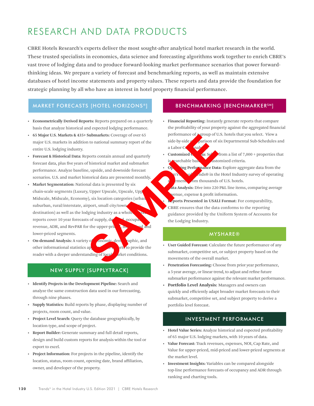# RESEARCH AND DATA PRODUCTS

CBRE Hotels Research's experts deliver the most sought-after analytical hotel market research in the world. These trusted specialists in economics, data science and forecasting algorithms work together to enrich CBRE's vast trove of lodging data and to produce forward-looking market performance scenarios that power forwardthinking ideas. We prepare a variety of forecast and benchmarking reports, as well as maintain extensive databases of hotel income statements and property values. These reports and data provide the foundation for strategic planning by all who have an interest in hotel property financial performance.

### **[MARKET FORECASTS \[HOTEL HORIZONS](https://pip.cbrehotels.com/publications-data-products/hotel-horizons)®]**

- **Econometrically Derived Reports:** Reports prepared on a quarterly basis that analyze historical and expected lodging performance.
- **65 Major U.S. Markets & 435+ Submarkets:** Coverage of over 65 major U.S. markets in addition to national summary report of the entire U.S. lodging industry.
- **Forecast & Historical Data:** Reports contain annual and quarterly forecast data, plus five years of historical market and submarket performance. Analyze baseline, upside, and downside forecast scenarios. U.S. and market historical data are presented monthly.
- **Market Segmentation:** National data is presented by six chain-scale segments (Luxury, Upper Upscale, Upscale, Upp Midscale, Midscale, Economy), six location categories (urban, suburban, rural/interstate, airport, small city/town destination) as well as the lodging industry as a whole reports cover 10 year forecasts of supply, demand, occuparevenue, ADR, and RevPAR for the upper-priced, may be and lower-priced segments. Submarkets: Coverage of over 65<br>
to national summary report of the side-by-side parison of sale<br>
ports contain annual and quarterly<br>
this correct in the side-by-side of the contribution of sale<br>
this correct in USAL<br>
the p
- **On-demand Analysis:** A variety of **ono**mic, demographic, and other informational statistics appear in the reports to provide the reader with a deeper understanding of  $\log d$  arket conditions.

### NEW SUPPLY [SUPPLYTRACK]

- **Identify Projects in the Development Pipeline:** Search and analyze the same construction data used in our forecasting, through nine phases.
- **Supply Statistics:** Build reports by phase, displaying number of projects, room count, and value.
- **Project Level Search:** Query the database geographically, by location type, and scope of project.
- **Report Builder:** Generate summary and full detail reports, design and build custom reports for analysis within the tool or export to excel.
- **Project Information:** For projects in the pipeline, identify the location, status, room count, opening date, brand affiliation, owner, and developer of the property.

### [BENCHMARKING \[BENCHMARKERSM\]](https://pip.cbrehotels.com/publications-data-products/benchmarker)

- **Financial Reporting:** Instantly generate reports that compare the profitability of your property against the aggregated financial performance of **a** group of U.S. hotels that you select. View a side-by-side comparison of six Departmental Sub-Schedules and a Labor Cost analysis.
- **Customized Criteria:**  $\mathbf{S}e^{\mathbf{z}}$  from a list of 7,000 + properties that is searchable based on a ustomized criteria.
	- **Open ing Performance Data:** Explore aggregate data from the nds® in the Hotel Industry survey of operating  $\frac{1}{2}$  ment  $\frac{1}{2}$  om thousands of U.S. hotels.
	- **ata Analysis:** Dive into 220 P&L line items, comparing average venue, expense & profit information.
- ports Presented in USALI Format: For comparability, CBRE ensures that the data conforms to the reporting guidance provided by the Uniform System of Accounts for the Lodging Industry.

#### MYSHARE®

- **User Guided Forecast:** Calculate the future performance of any submarket, competitive set, or subject property based on the movements of the overall market.
- **Penetration Forecasting:** Choose from prior year performance, a 5-year average, or linear trend, to adjust and refine future submarket performance against the relevant market performance.
- Portfolio Level Analysis: Managers and owners can quickly and efficiently adapt broader market forecasts to their submarket, competitive set, and subject property to derive a portfolio level forecast.

#### INVESTMENT PERFORMANCE

- **Hotel Value Series:** Analyze historical and expected profitability of 65 major U.S. lodging markets, with 10 years of data.
- **Value Forecast:** Track revenues, expenses, NOI, Cap Rate, and Value for upper-priced, mid-priced and lower-priced segments at the market level.
- **Investment Insights:** Variables can be compared alongside top-line performance forecasts of occupancy and ADR through ranking and charting tools.